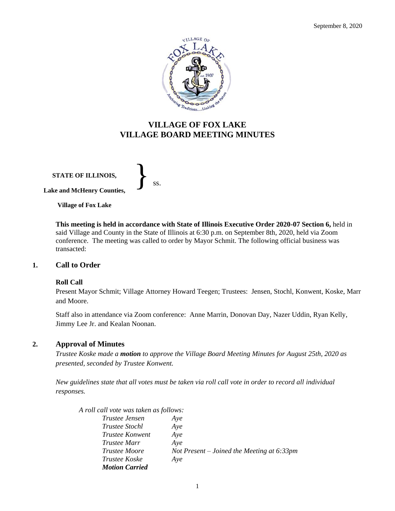

## **VILLAGE OF FOX LAKE VILLAGE BOARD MEETING MINUTES**

**STATE OF ILLINOIS, Lake and McHenry Counties,** 

}<br>*ss.* 

**Village of Fox Lake**

**This meeting is held in accordance with State of Illinois Executive Order 2020-07 Section 6,** held in said Village and County in the State of Illinois at 6:30 p.m. on September 8th, 2020, held via Zoom conference. The meeting was called to order by Mayor Schmit. The following official business was transacted:

## **1. Call to Order**

#### **Roll Call**

Present Mayor Schmit; Village Attorney Howard Teegen; Trustees: Jensen, Stochl, Konwent, Koske, Marr and Moore.

Staff also in attendance via Zoom conference: Anne Marrin, Donovan Day, Nazer Uddin, Ryan Kelly, Jimmy Lee Jr. and Kealan Noonan.

## **2. Approval of Minutes**

*Trustee Koske made a motion to approve the Village Board Meeting Minutes for August 25th, 2020 as presented, seconded by Trustee Konwent.* 

*New guidelines state that all votes must be taken via roll call vote in order to record all individual responses.* 

| A roll call vote was taken as follows: |                                               |
|----------------------------------------|-----------------------------------------------|
| Trustee Jensen                         | Aye                                           |
| <i>Trustee Stochl</i>                  | Aye                                           |
| <i>Trustee Konwent</i>                 | Aye                                           |
| <i>Trustee Marr</i>                    | Aye                                           |
| <i>Trustee Moore</i>                   | Not Present – Joined the Meeting at $6:33$ pm |
| <i>Trustee Koske</i>                   | Aye                                           |
| <b>Motion Carried</b>                  |                                               |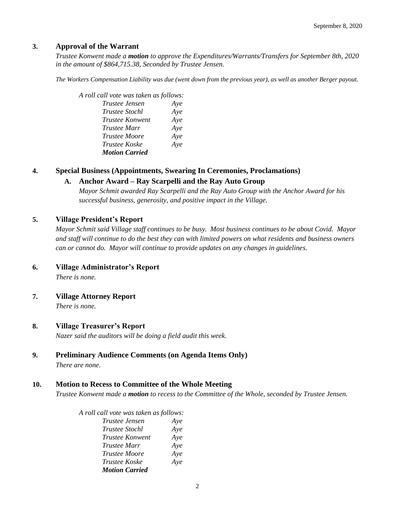#### **3. Approval of the Warrant**

*Trustee Konwent made a motion to approve the Expenditures/Warrants/Transfers for September 8th, 2020 in the amount of \$864,715.38, Seconded by Trustee Jensen.*

*The Workers Compensation Liability was due (went down from the previous year), as well as another Berger payout.* 

| A roll call vote was taken as follows: |     |
|----------------------------------------|-----|
| Trustee Jensen                         | Aye |
| <b>Trustee Stochl</b>                  | Aye |
| <i>Trustee Konwent</i>                 | Aye |
| <i>Trustee Marr</i>                    | Aye |
| <i>Trustee Moore</i>                   | Aye |
| <i>Trustee Koske</i>                   | Aye |
| <b>Motion Carried</b>                  |     |

#### **4. Special Business (Appointments, Swearing In Ceremonies, Proclamations)**

#### **A. Anchor Award – Ray Scarpelli and the Ray Auto Group**

*Mayor Schmit awarded Ray Scarpelli and the Ray Auto Group with the Anchor Award for his successful business, generosity, and positive impact in the Village.* 

#### **5. Village President's Report**

*Mayor Schmit said Village staff continues to be busy. Most business continues to be about Covid. Mayor and staff will continue to do the best they can with limited powers on what residents and business owners can or cannot do. Mayor will continue to provide updates on any changes in guidelines.* 

**6. Village Administrator's Report**

*There is none.*

**7. Village Attorney Report**

*There is none.*

#### **8. Village Treasurer's Report**

*Nazer said the auditors will be doing a field audit this week.*

## **9. Preliminary Audience Comments (on Agenda Items Only)**

*There are none.* 

#### **10. Motion to Recess to Committee of the Whole Meeting**

*Trustee Konwent made a motion to recess to the Committee of the Whole, seconded by Trustee Jensen.* 

#### *A roll call vote was taken as follows:*

| Trustee Jensen         | Aye |
|------------------------|-----|
| Trustee Stochl         | Aye |
| <b>Trustee Konwent</b> | Aye |
| Trustee Marr           | Aye |
| <i>Trustee Moore</i>   | Aye |
| Trustee Koske          | Aye |
| <b>Motion Carried</b>  |     |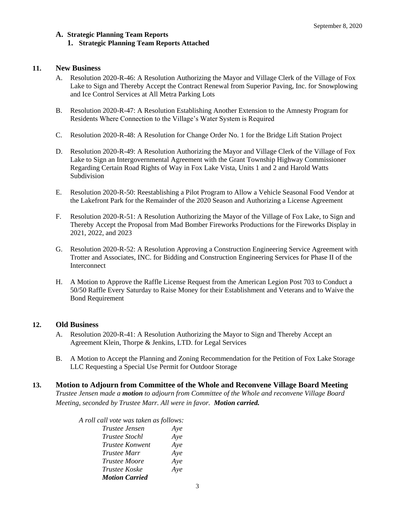## **A. Strategic Planning Team Reports 1. Strategic Planning Team Reports Attached**

## **11. New Business**

- A. Resolution 2020-R-46: A Resolution Authorizing the Mayor and Village Clerk of the Village of Fox Lake to Sign and Thereby Accept the Contract Renewal from Superior Paving, Inc. for Snowplowing and Ice Control Services at All Metra Parking Lots
- B. Resolution 2020-R-47: A Resolution Establishing Another Extension to the Amnesty Program for Residents Where Connection to the Village's Water System is Required
- C. Resolution 2020-R-48: A Resolution for Change Order No. 1 for the Bridge Lift Station Project
- D. Resolution 2020-R-49: A Resolution Authorizing the Mayor and Village Clerk of the Village of Fox Lake to Sign an Intergovernmental Agreement with the Grant Township Highway Commissioner Regarding Certain Road Rights of Way in Fox Lake Vista, Units 1 and 2 and Harold Watts Subdivision
- E. Resolution 2020-R-50: Reestablishing a Pilot Program to Allow a Vehicle Seasonal Food Vendor at the Lakefront Park for the Remainder of the 2020 Season and Authorizing a License Agreement
- F. Resolution 2020-R-51: A Resolution Authorizing the Mayor of the Village of Fox Lake, to Sign and Thereby Accept the Proposal from Mad Bomber Fireworks Productions for the Fireworks Display in 2021, 2022, and 2023
- G. Resolution 2020-R-52: A Resolution Approving a Construction Engineering Service Agreement with Trotter and Associates, INC. for Bidding and Construction Engineering Services for Phase II of the Interconnect
- H. A Motion to Approve the Raffle License Request from the American Legion Post 703 to Conduct a 50/50 Raffle Every Saturday to Raise Money for their Establishment and Veterans and to Waive the Bond Requirement

## **12. Old Business**

- A. Resolution 2020-R-41: A Resolution Authorizing the Mayor to Sign and Thereby Accept an Agreement Klein, Thorpe & Jenkins, LTD. for Legal Services
- B. A Motion to Accept the Planning and Zoning Recommendation for the Petition of Fox Lake Storage LLC Requesting a Special Use Permit for Outdoor Storage
- **13. Motion to Adjourn from Committee of the Whole and Reconvene Village Board Meeting** *Trustee Jensen made a motion to adjourn from Committee of the Whole and reconvene Village Board Meeting, seconded by Trustee Marr. All were in favor. Motion carried.*

| Aye |
|-----|
| Aye |
| Aye |
| Aye |
| Aye |
| Aye |
|     |
|     |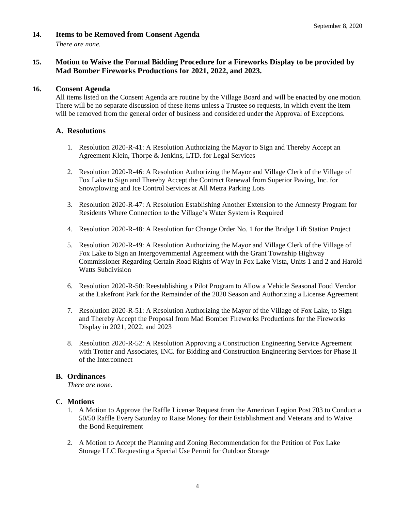## **14. Items to be Removed from Consent Agenda**

*There are none.*

## **15. Motion to Waive the Formal Bidding Procedure for a Fireworks Display to be provided by Mad Bomber Fireworks Productions for 2021, 2022, and 2023.**

## **16. Consent Agenda**

All items listed on the Consent Agenda are routine by the Village Board and will be enacted by one motion. There will be no separate discussion of these items unless a Trustee so requests, in which event the item will be removed from the general order of business and considered under the Approval of Exceptions.

## **A. Resolutions**

- 1. Resolution 2020-R-41: A Resolution Authorizing the Mayor to Sign and Thereby Accept an Agreement Klein, Thorpe & Jenkins, LTD. for Legal Services
- 2. Resolution 2020-R-46: A Resolution Authorizing the Mayor and Village Clerk of the Village of Fox Lake to Sign and Thereby Accept the Contract Renewal from Superior Paving, Inc. for Snowplowing and Ice Control Services at All Metra Parking Lots
- 3. Resolution 2020-R-47: A Resolution Establishing Another Extension to the Amnesty Program for Residents Where Connection to the Village's Water System is Required
- 4. Resolution 2020-R-48: A Resolution for Change Order No. 1 for the Bridge Lift Station Project
- 5. Resolution 2020-R-49: A Resolution Authorizing the Mayor and Village Clerk of the Village of Fox Lake to Sign an Intergovernmental Agreement with the Grant Township Highway Commissioner Regarding Certain Road Rights of Way in Fox Lake Vista, Units 1 and 2 and Harold Watts Subdivision
- 6. Resolution 2020-R-50: Reestablishing a Pilot Program to Allow a Vehicle Seasonal Food Vendor at the Lakefront Park for the Remainder of the 2020 Season and Authorizing a License Agreement
- 7. Resolution 2020-R-51: A Resolution Authorizing the Mayor of the Village of Fox Lake, to Sign and Thereby Accept the Proposal from Mad Bomber Fireworks Productions for the Fireworks Display in 2021, 2022, and 2023
- 8. Resolution 2020-R-52: A Resolution Approving a Construction Engineering Service Agreement with Trotter and Associates, INC. for Bidding and Construction Engineering Services for Phase II of the Interconnect

## **B. Ordinances**

*There are none.*

## **C. Motions**

- 1. A Motion to Approve the Raffle License Request from the American Legion Post 703 to Conduct a 50/50 Raffle Every Saturday to Raise Money for their Establishment and Veterans and to Waive the Bond Requirement
- 2. A Motion to Accept the Planning and Zoning Recommendation for the Petition of Fox Lake Storage LLC Requesting a Special Use Permit for Outdoor Storage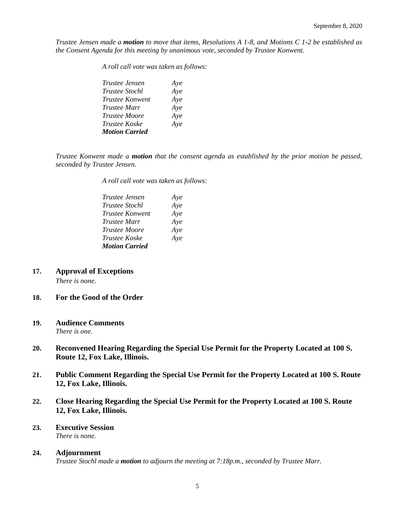*Trustee Jensen made a motion to move that items, Resolutions A 1-8, and Motions C 1-2 be established as the Consent Agenda for this meeting by unanimous vote, seconded by Trustee Konwent.*

*A roll call vote was taken as follows:* 

| Trustee Jensen         | Aye |
|------------------------|-----|
| <i>Trustee Stochl</i>  | Aye |
| <b>Trustee Konwent</b> | Aye |
| <i>Trustee Marr</i>    | Aye |
| <i>Trustee Moore</i>   | Aye |
| <i>Trustee Koske</i>   | Aye |
| <b>Motion Carried</b>  |     |

*Trustee Konwent made a motion that the consent agenda as established by the prior motion be passed, seconded by Trustee Jensen.*

*A roll call vote was taken as follows:* 

| Trustee Jensen        | Aye |
|-----------------------|-----|
| <i>Trustee Stochl</i> | Aye |
| Trustee Konwent       | Aye |
| Trustee Marr          | Aye |
| <b>Trustee Moore</b>  | Aye |
| Trustee Koske         | Aye |
| <b>Motion Carried</b> |     |

**17. Approval of Exceptions**

*There is none.*

#### **18. For the Good of the Order**

#### **19. Audience Comments**

*There is one.*

- **20. Reconvened Hearing Regarding the Special Use Permit for the Property Located at 100 S. Route 12, Fox Lake, Illinois.**
- **21. Public Comment Regarding the Special Use Permit for the Property Located at 100 S. Route 12, Fox Lake, Illinois.**
- **22. Close Hearing Regarding the Special Use Permit for the Property Located at 100 S. Route 12, Fox Lake, Illinois.**

#### **23. Executive Session**  *There is none.*

# **24. Adjournment**

*Trustee Stochl made a motion to adjourn the meeting at 7:18p.m., seconded by Trustee Marr.*